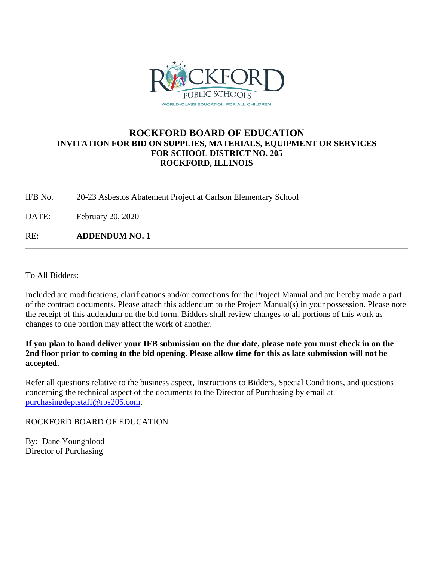

## **ROCKFORD BOARD OF EDUCATION INVITATION FOR BID ON SUPPLIES, MATERIALS, EQUIPMENT OR SERVICES FOR SCHOOL DISTRICT NO. 205 ROCKFORD, ILLINOIS**

IFB No. 20-23 Asbestos Abatement Project at Carlson Elementary School

DATE: February 20, 2020

RE: **ADDENDUM NO. 1**

To All Bidders:

Included are modifications, clarifications and/or corrections for the Project Manual and are hereby made a part of the contract documents. Please attach this addendum to the Project Manual(s) in your possession. Please note the receipt of this addendum on the bid form. Bidders shall review changes to all portions of this work as changes to one portion may affect the work of another.

**If you plan to hand deliver your IFB submission on the due date, please note you must check in on the 2nd floor prior to coming to the bid opening. Please allow time for this as late submission will not be accepted.**

Refer all questions relative to the business aspect, Instructions to Bidders, Special Conditions, and questions concerning the technical aspect of the documents to the Director of Purchasing by email at [purchasingdeptstaff@rps205.com.](mailto:purchasingdeptstaff@rps205.com)

ROCKFORD BOARD OF EDUCATION

By: Dane Youngblood Director of Purchasing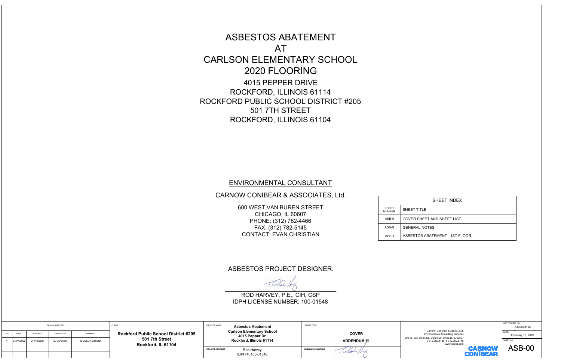ASBESTOS ABATEMENT \_\_<br>;<br>AT ASBESTOS ABATEMENT<br>AT<br>CARLSON ELEMENTARY SCHOOL MARREAD MARRIAN<br>ESTOS ABATEM<br>AT<br>2020 FLOORING ESTOS ABATEM<br>AT<br>AT<br>2020 FLOORING<br>4015 PEPPER DRIVE SBESTOS ABATEMEN<br>AT<br>SON ELEMENTARY SC<br>2020 FLOORING<br>4015 PEPPER DRIVE<br>ROCKFORD, ILLINOIS 61114 ROCKFORD, ILLINOIS 61104<br>ENVIRONMENTAL CONSULTANT ASBESTOS ABATEMENT<br>
CARLSON ELEMENTARY SCHOOL<br>
2020 FLOORING<br>
4015 PEPPER DRIVE<br>
ROCKFORD, ILLINOIS 61104<br>
ROCKFORD, ILLINOIS 61104<br>
THE STREET<br>
ROCKFORD, ILLINOIS 61104<br>
ENVIRONMENTAL CONSULTANT<br>
CARNOW CONIBEAR & ASSOCI

## CARNOW CONIBEAR & ASSOCIATES, Ltd. VIRONMENTAL CONSULTA<br>MV CONIBEAR & ASSOCIAT<br>600 WEST VAN BUREN STREET

**NMENTAL CONS<br>DNIBEAR & ASSC<br>EST VAN BUREN ST<br>CHICAGO, IL 60607** ONMENTAL CONSU<br>CONIBEAR & ASSOC<br>MEST VAN BUREN STR<br>CHICAGO, IL 60607<br>PHONE: (312) 782-4466 NMENTAL CONS<br>DNIBEAR & ASSC<br>EST VAN BUREN ST<br>CHICAGO, IL 60607<br>HONE: (312) 782-446<br>FAX: (312) 782-5145 IRONMENTAL CONSULT<br>V CONIBEAR & ASSOCIA<br>DO WEST VAN BUREN STREE<br>CHICAGO, IL 60607<br>PHONE: (312) 782-5145<br>FAX: (312) 782-5145<br>CONTACT: EVAN CHRISTIAN

| <b>SHEET</b><br><b>NUMBER</b> | <b>SHEE</b> |
|-------------------------------|-------------|
| ASB-0                         | <b>COVE</b> |
| ASB-G                         | <b>GENE</b> |
| ASB-1                         | <b>ASBE</b> |

## ASBESTOS PROJECT DESIGNER:

CONTACT. EVAN CHRISTIAN<br>ESTOS PROJECT DESIGI<br>ROD HARVEY, P.E., CIH, CSP

|  |                                                                                     |              |              |                                                        |  |                                                                                                   | ROD HARVEY, P.E., CIH, CSP<br>IDPH LICENSE NUMBER: 100-01548 |                           |                                                                             |                                                    |               |  |                                      |  |                          |                   |  |                                                                                                         |           |
|--|-------------------------------------------------------------------------------------|--------------|--------------|--------------------------------------------------------|--|---------------------------------------------------------------------------------------------------|--------------------------------------------------------------|---------------------------|-----------------------------------------------------------------------------|----------------------------------------------------|---------------|--|--------------------------------------|--|--------------------------|-------------------|--|---------------------------------------------------------------------------------------------------------|-----------|
|  | <b>DRAWING HISTORY</b><br>DATE<br>CHECKED BY:<br>NO.<br>DRAWN BY:<br><b>REMARKS</b> |              |              | CLIENT:<br><b>Rockford Public School District #205</b> |  | PROJECT NAME:<br><b>Asbestos Abatement</b><br><b>Carlson Elementary School</b><br>4015 Pepper Dr. |                                                              | <b>COVER</b>              | Carnow, Conibear & Assoc., Ltd.<br><b>Environmental Consulting Services</b> | CCA PROJECT NO.<br>A139670152<br>February 19, 2020 |               |  |                                      |  |                          |                   |  |                                                                                                         |           |
|  | 01/07/2020                                                                          | D. Pfolsgrof | E. Christian | <b>ISSUED FOR BID</b>                                  |  |                                                                                                   |                                                              |                           |                                                                             |                                                    |               |  | 501 7th Street<br>Rockford, IL 61104 |  | Rockford, Illinois 61114 | <b>ADDENDUM#1</b> |  | 600 W. Van Buren St., Suite 500, Chicago, IL 60607<br>t: 312.782.4486 f: 312.782.5145<br>www.ccaltd.com | SHEET NO. |
|  |                                                                                     |              |              |                                                        |  | PROJECT DESIGNER                                                                                  | Rod Harvey<br>IDPH #: 100-01548                              | <b>DESIGNER SIGNATURE</b> | 002117                                                                      | <b>CARNOW</b><br><b>CONIBEAR</b>                   | <b>ASB-00</b> |  |                                      |  |                          |                   |  |                                                                                                         |           |



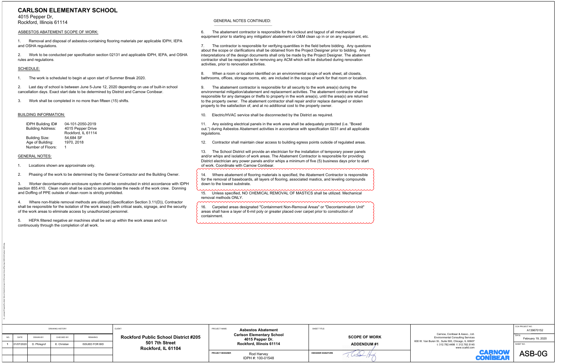**CARLSON ELEMENTARY SCHOOL**<br>
NEWS ARE THE CONTRACT SCHOOL (THE VALUE OF A CONTRACT CONTRACT CONTRACT CONTRACT CONTRACT CONTRACT CONTRACT CONTRACT CONTRACT CONTRACT CONTRACT CONTRACT CONTRACT CONTRACT CONTRACT CONTRACT CON

|             | DRAWING HISTORY         |              |                       | CLIENT:                                                                             | PROJECT NAME:    | <b>Asbestos Abatement</b>       | SHEET TITLE:              |            |                                                     | CCA PROJECT NO.<br>A139670152 |                      |                                                                                                                                   |                   |
|-------------|-------------------------|--------------|-----------------------|-------------------------------------------------------------------------------------|------------------|---------------------------------|---------------------------|------------|-----------------------------------------------------|-------------------------------|----------------------|-----------------------------------------------------------------------------------------------------------------------------------|-------------------|
| NO.<br>DATE | DRAWN BY:               | CHECKED BY:  | <b>REMARKS</b>        | <b>Rockford Public School District #205</b><br>501 7th Street<br>Rockford, IL 61104 |                  |                                 |                           |            | <b>Carlson Elementary School</b><br>4015 Pepper Dr. |                               | <b>SCOPE OF WORK</b> | Carnow, Conibear & Assoc., Ltd.<br><b>Environmental Consulting Services</b><br>600 W. Van Buren St., Suite 500, Chicago, IL 60607 | February 19, 2020 |
|             | 01/07/2020 D. Pfolsgrof | E. Christian | <b>ISSUED FOR BID</b> |                                                                                     |                  | Rockford, Illinois 61114        | <b>ADDENDUM#1</b>         |            | t: 312.782.4486 f: 312.782.5145<br>www.ccaltd.com   | SHEET NO.                     |                      |                                                                                                                                   |                   |
|             |                         |              |                       |                                                                                     | PROJECT DESIGNER | Rod Harvey<br>IDPH #: 100-01548 | <b>DESIGNER SIGNATURE</b> | 1 UCod /An | <b>CARNOW</b><br><b>CONIBEAF</b>                    | ASB-0G                        |                      |                                                                                                                                   |                   |

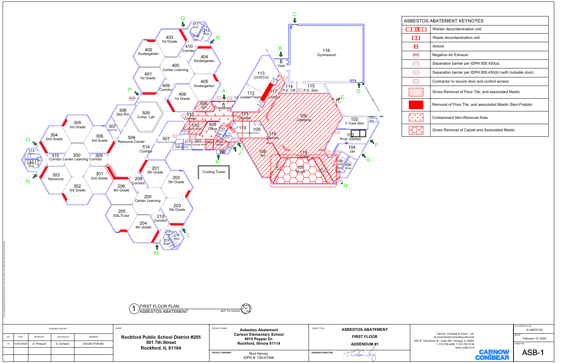

|                         | BESTOS ABATEMENT KEYNOTES                                   |
|-------------------------|-------------------------------------------------------------|
|                         | Worker decontamination unit                                 |
|                         | Waste decontamination unit.                                 |
| │AL│                    | Airlock                                                     |
| $\langle$ NAE $\rangle$ | Negative Air Exhaust                                        |
| (1)                     | Separation barrier per IDPH 855.430(a)                      |
| $\overline{2}$          | Separation barrier per IDPH 855.430(b) (with lockable door) |
| $\mathbf{3}$            | Contractor to secure door and control access                |
|                         | Gross Removal of Floor Tile, and associated Mastic          |
|                         | Removal of Floor Tile, and associated Mastic (Non-Friable)  |
|                         | Containment Non-Removal Area                                |
|                         | Gross Removal of Carpet and Associated Mastic               |
|                         |                                                             |

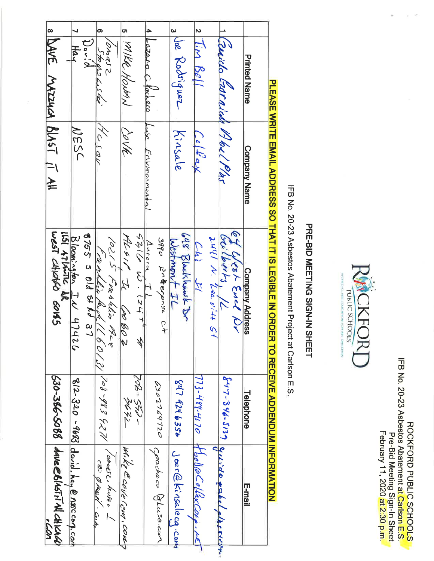| February 11, 2020 at 2:30 p.m | Pre-Bid Meeting Sign-In Sheet | IFB No. 23 Asbestos Abaera at Carlson E.S. | <b>ROCKFORD PUBLIC SCHOOLS</b> |
|-------------------------------|-------------------------------|--------------------------------------------|--------------------------------|
|                               |                               |                                            |                                |



# PRE-BID MEETING SIGN-IN SHEET

IFB No. 20-23 Asbestos Abatement Project at Carlson E.S.

| 630-386-5088   dave@615Fi74 cHick0<br>,<br>Con |                                        | lisi Arlinic de Sons                                       |                     | 8 DAVE MAZZUCA BLAST IT All                    |
|------------------------------------------------|----------------------------------------|------------------------------------------------------------|---------------------|------------------------------------------------|
| $8/2.320 - 9683$ david. hay @ NSCCOM.com       |                                        | Bloomington IN 4742                                        | NESC                | $\overline{\phantom{0}}$<br>$H_{\alpha\gamma}$ |
|                                                |                                        | 8755 3 01d & Rd 37                                         |                     | Vanger<br>3 Stopsaster<br>David                |
| to grad con                                    |                                        |                                                            | 170501              | თ                                              |
|                                                |                                        | 10215 Franklin Reve (2013) [08-983427] Tomass. kuniv. 1    |                     |                                                |
| Wike Canke Com, cont                           | -1224                                  | ALSIC, IL COBOZ                                            | DOVE                | 5 MAKE HONAN                                   |
|                                                | -12 - 22 -                             | Aurora, IL<br>5216 W. 124+ A                               |                     |                                                |
|                                                |                                        |                                                            | Luse Environnental  | 4 Lazaro Chacheco                              |
| Cpachaco Gluse.com                             | 0302769720                             | 3990 Freeponse Ct                                          |                     |                                                |
| Joer@Kinsalecq.com                             | 547 424 6356                           | Westmant IL                                                | Kinsale             | 3 lie Podriguez                                |
|                                                |                                        | 648 Blackhaust Dr                                          |                     |                                                |
| 773-489-4170 HolleCollexCorp.                  |                                        | Chi Il                                                     | Colflax             | $2\frac{7}{11}$ m $150/1$                      |
|                                                |                                        |                                                            |                     |                                                |
| $847-346.5137$ original platery                |                                        | Of Ureat End Nr<br>Ecilemts 12<br>2441 N. Leavin 51        |                     | 1 Cerido Earnida 1962/Par                      |
|                                                |                                        |                                                            |                     |                                                |
| E-mail                                         | Telephone                              | Company Address                                            | <b>Company Name</b> | <b>Printed Mame</b>                            |
|                                                |                                        |                                                            |                     |                                                |
|                                                | <b>TO RECEIVE ADDENDING INTOKATION</b> | <b>PLEASE MARINE EGIBLE IN CLEGET LINE CLEGET LINATION</b> |                     |                                                |